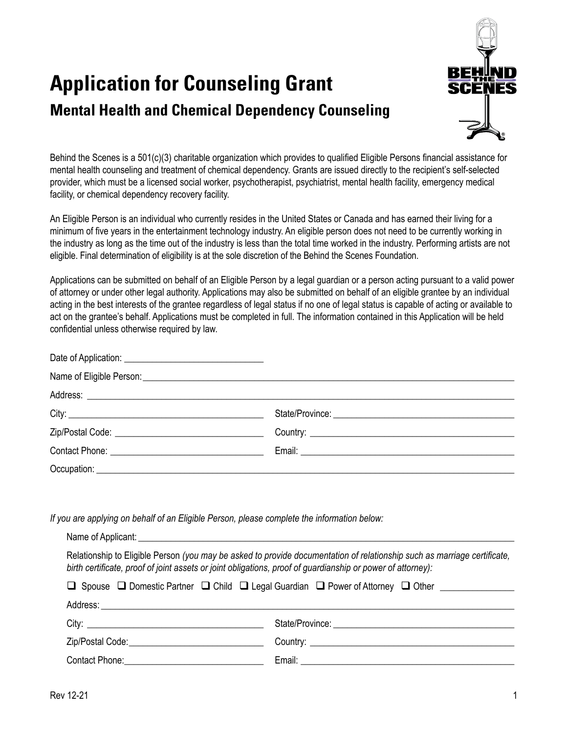

# **Application for Counseling Grant Mental Health and Chemical Dependency Counseling**

Behind the Scenes is a 501(c)(3) charitable organization which provides to qualified Eligible Persons financial assistance for mental health counseling and treatment of chemical dependency. Grants are issued directly to the recipient's self-selected provider, which must be a licensed social worker, psychotherapist, psychiatrist, mental health facility, emergency medical facility, or chemical dependency recovery facility.

An Eligible Person is an individual who currently resides in the United States or Canada and has earned their living for a minimum of five years in the entertainment technology industry. An eligible person does not need to be currently working in the industry as long as the time out of the industry is less than the total time worked in the industry. Performing artists are not eligible. Final determination of eligibility is at the sole discretion of the Behind the Scenes Foundation.

Applications can be submitted on behalf of an Eligible Person by a legal guardian or a person acting pursuant to a valid power of attorney or under other legal authority. Applications may also be submitted on behalf of an eligible grantee by an individual acting in the best interests of the grantee regardless of legal status if no one of legal status is capable of acting or available to act on the grantee's behalf. Applications must be completed in full. The information contained in this Application will be held confidential unless otherwise required by law.

*If you are applying on behalf of an Eligible Person, please complete the information below:*

| Relationship to Eligible Person (you may be asked to provide documentation of relationship such as marriage certificate,<br>birth certificate, proof of joint assets or joint obligations, proof of guardianship or power of attorney): |  |  |  |
|-----------------------------------------------------------------------------------------------------------------------------------------------------------------------------------------------------------------------------------------|--|--|--|
| $\Box$ Spouse $\Box$ Domestic Partner $\Box$ Child $\Box$ Legal Guardian $\Box$ Power of Attorney $\Box$ Other                                                                                                                          |  |  |  |
|                                                                                                                                                                                                                                         |  |  |  |
|                                                                                                                                                                                                                                         |  |  |  |
| Zip/Postal Code: National According Code:                                                                                                                                                                                               |  |  |  |
| Contact Phone: 2000 Contact Phone:                                                                                                                                                                                                      |  |  |  |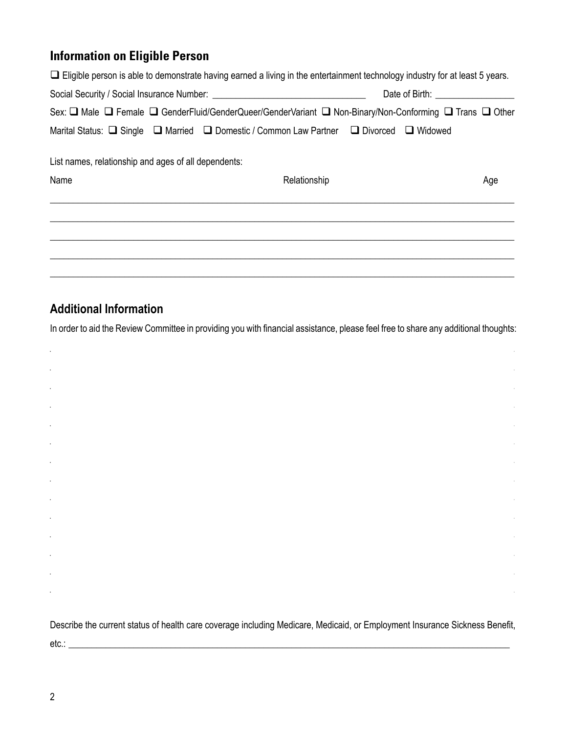### **Information on Eligible Person**

| $\Box$ Eligible person is able to demonstrate having earned a living in the entertainment technology industry for at least 5 years. |              |  |                                     |
|-------------------------------------------------------------------------------------------------------------------------------------|--------------|--|-------------------------------------|
|                                                                                                                                     |              |  | Date of Birth: ____________________ |
| Sex: □ Male □ Female □ GenderFluid/GenderQueer/GenderVariant □ Non-Binary/Non-Conforming □ Trans □ Other                            |              |  |                                     |
| Marital Status: □ Single □ Married □ Domestic / Common Law Partner □ Divorced □ Widowed                                             |              |  |                                     |
| List names, relationship and ages of all dependents:                                                                                |              |  |                                     |
| Name                                                                                                                                | Relationship |  | Age                                 |
|                                                                                                                                     |              |  |                                     |
|                                                                                                                                     |              |  |                                     |
|                                                                                                                                     |              |  |                                     |
|                                                                                                                                     |              |  |                                     |

## **Additional Information**

l,

In order to aid the Review Committee in providing you with financial assistance, please feel free to share any additional thoughts:

Describe the current status of health care coverage including Medicare, Medicaid, or Employment Insurance Sickness Benefit, 

l,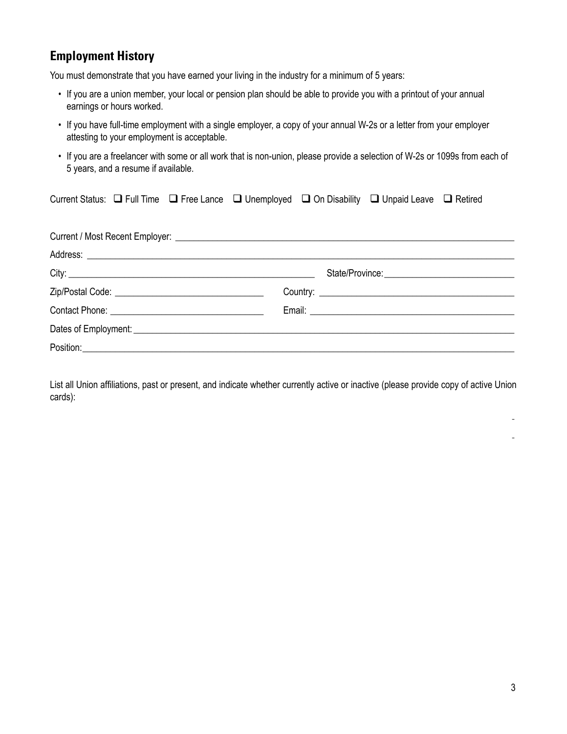#### **Employment History**

You must demonstrate that you have earned your living in the industry for a minimum of 5 years:

- If you are a union member, your local or pension plan should be able to provide you with a printout of your annual earnings or hours worked.
- If you have full-time employment with a single employer, a copy of your annual W-2s or a letter from your employer attesting to your employment is acceptable.
- If you are a freelancer with some or all work that is non-union, please provide a selection of W-2s or 1099s from each of 5 years, and a resume if available.

| Current Status: □ Full Time □ Free Lance □ Unemployed □ On Disability □ Unpaid Leave □ Retired |  |  |  |
|------------------------------------------------------------------------------------------------|--|--|--|
|                                                                                                |  |  |  |
|                                                                                                |  |  |  |
|                                                                                                |  |  |  |
|                                                                                                |  |  |  |
|                                                                                                |  |  |  |
|                                                                                                |  |  |  |
|                                                                                                |  |  |  |
|                                                                                                |  |  |  |

List all Union affiliations, past or present, and indicate whether currently active or inactive (please provide copy of active Union cards):

 $\mathcal{L}_\mathcal{L} = \{ \mathcal{L}_\mathcal{L} = \{ \mathcal{L}_\mathcal{L} = \{ \mathcal{L}_\mathcal{L} = \{ \mathcal{L}_\mathcal{L} = \{ \mathcal{L}_\mathcal{L} = \{ \mathcal{L}_\mathcal{L} = \{ \mathcal{L}_\mathcal{L} = \{ \mathcal{L}_\mathcal{L} = \{ \mathcal{L}_\mathcal{L} = \{ \mathcal{L}_\mathcal{L} = \{ \mathcal{L}_\mathcal{L} = \{ \mathcal{L}_\mathcal{L} = \{ \mathcal{L}_\mathcal{L} = \{ \mathcal{L}_\mathcal{$  $\mathcal{L}_\mathcal{L} = \{ \mathcal{L}_\mathcal{L} = \{ \mathcal{L}_\mathcal{L} = \{ \mathcal{L}_\mathcal{L} = \{ \mathcal{L}_\mathcal{L} = \{ \mathcal{L}_\mathcal{L} = \{ \mathcal{L}_\mathcal{L} = \{ \mathcal{L}_\mathcal{L} = \{ \mathcal{L}_\mathcal{L} = \{ \mathcal{L}_\mathcal{L} = \{ \mathcal{L}_\mathcal{L} = \{ \mathcal{L}_\mathcal{L} = \{ \mathcal{L}_\mathcal{L} = \{ \mathcal{L}_\mathcal{L} = \{ \mathcal{L}_\mathcal{$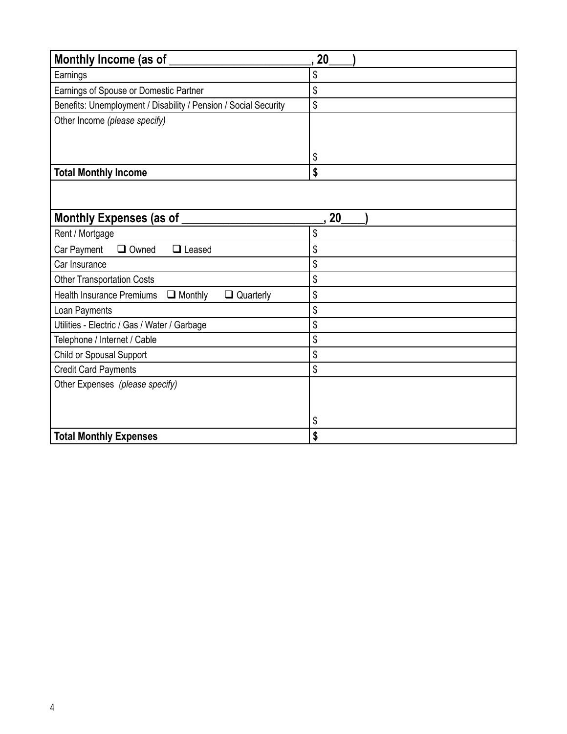| Monthly Income (as of                                                  | 20 |
|------------------------------------------------------------------------|----|
| Earnings                                                               | \$ |
| Earnings of Spouse or Domestic Partner                                 | \$ |
| Benefits: Unemployment / Disability / Pension / Social Security        | \$ |
| Other Income (please specify)                                          |    |
|                                                                        |    |
|                                                                        | \$ |
| <b>Total Monthly Income</b>                                            | \$ |
|                                                                        |    |
|                                                                        |    |
| Monthly Expenses (as of                                                | 20 |
| Rent / Mortgage                                                        | \$ |
| $\Box$ Owned<br>Car Payment<br>$\Box$ Leased                           | \$ |
| Car Insurance                                                          | \$ |
| <b>Other Transportation Costs</b>                                      | \$ |
| <b>Health Insurance Premiums</b><br>$\Box$ Monthly<br>$\Box$ Quarterly | \$ |
| Loan Payments                                                          | \$ |
| Utilities - Electric / Gas / Water / Garbage                           | \$ |
| Telephone / Internet / Cable                                           | \$ |
| Child or Spousal Support                                               | \$ |
| <b>Credit Card Payments</b>                                            | \$ |
| Other Expenses (please specify)                                        |    |
|                                                                        |    |
|                                                                        | \$ |
| <b>Total Monthly Expenses</b>                                          | \$ |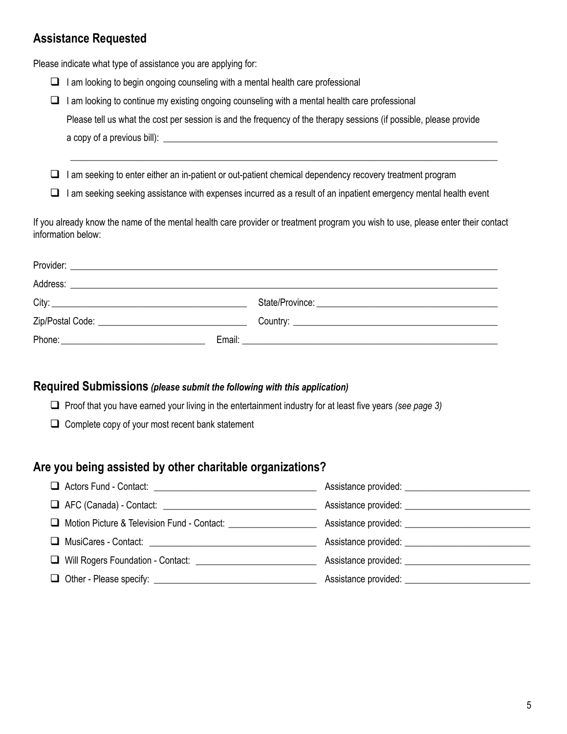### **Assistance Requested**

Please indicate what type of assistance you are applying for:

- $\Box$  I am looking to begin ongoing counseling with a mental health care professional
- $\Box$  I am looking to continue my existing ongoing counseling with a mental health care professional Please tell us what the cost per session is and the frequency of the therapy sessions (if possible, please provide a copy of a previous bill): **with a set of a set of a set of a** set of a set of a set of  $\alpha$

 $\Box$  I am seeking to enter either an in-patient or out-patient chemical dependency recovery treatment program

 $\Box$  I am seeking seeking assistance with expenses incurred as a result of an inpatient emergency mental health event

\_\_\_\_\_\_\_\_\_\_\_\_\_\_\_\_\_\_\_\_\_\_\_\_\_\_\_\_\_\_\_\_\_\_\_\_\_\_\_\_\_\_\_\_\_\_\_\_\_\_\_\_\_\_\_\_\_\_\_\_\_\_\_\_\_\_\_\_\_\_\_\_\_\_\_\_\_\_\_\_\_\_\_\_\_\_\_\_\_\_\_\_

If you already know the name of the mental health care provider or treatment program you wish to use, please enter their contact information below:

|  | Email: <u>________________________________</u> |
|--|------------------------------------------------|

#### **Required Submissions** *(please submit the following with this application)*

□ Proof that you have earned your living in the entertainment industry for at least five years *(see page 3)* 

 $\Box$  Complete copy of your most recent bank statement

#### **Are you being assisted by other charitable organizations?**

|                                                                                  | Assistance provided: ________________________ |
|----------------------------------------------------------------------------------|-----------------------------------------------|
| □ Motion Picture & Television Fund - Contact: __________________________________ | Assistance provided: _____________________    |
| □ MusiCares - Contact: <u>________________________________</u>                   | Assistance provided: ________________________ |
| □ Will Rogers Foundation - Contact: <u>________________________</u>              | Assistance provided: ________________________ |
|                                                                                  | Assistance provided: ________________________ |
|                                                                                  |                                               |